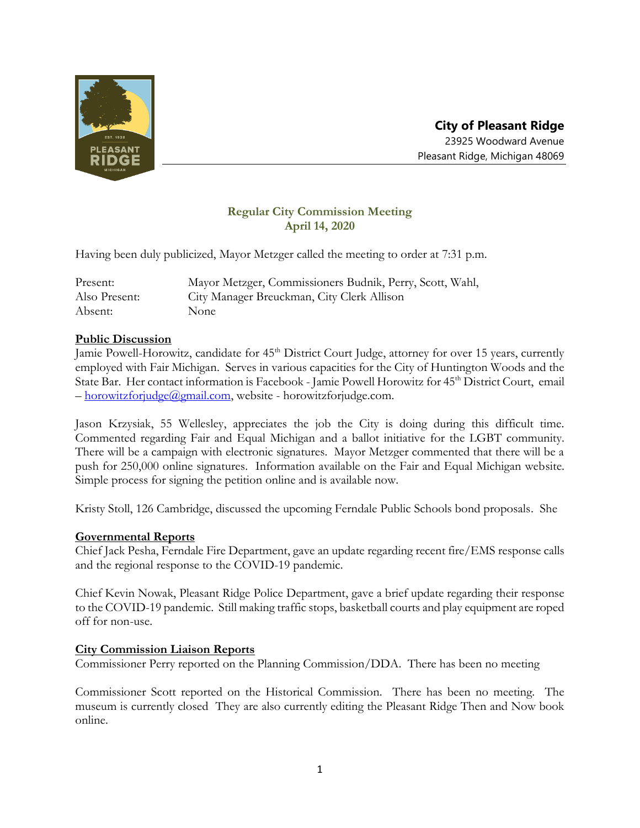

# **Regular City Commission Meeting April 14, 2020**

Having been duly publicized, Mayor Metzger called the meeting to order at 7:31 p.m.

| Present:      | Mayor Metzger, Commissioners Budnik, Perry, Scott, Wahl, |
|---------------|----------------------------------------------------------|
| Also Present: | City Manager Breuckman, City Clerk Allison               |
| Absent:       | None                                                     |

## **Public Discussion**

Jamie Powell-Horowitz, candidate for 45<sup>th</sup> District Court Judge, attorney for over 15 years, currently employed with Fair Michigan. Serves in various capacities for the City of Huntington Woods and the State Bar. Her contact information is Facebook - Jamie Powell Horowitz for 45<sup>th</sup> District Court, email – [horowitzforjudge@gmail.com,](mailto:horowitzforjudge@gmail.com) website - horowitzforjudge.com.

Jason Krzysiak, 55 Wellesley, appreciates the job the City is doing during this difficult time. Commented regarding Fair and Equal Michigan and a ballot initiative for the LGBT community. There will be a campaign with electronic signatures. Mayor Metzger commented that there will be a push for 250,000 online signatures. Information available on the Fair and Equal Michigan website. Simple process for signing the petition online and is available now.

Kristy Stoll, 126 Cambridge, discussed the upcoming Ferndale Public Schools bond proposals. She

## **Governmental Reports**

Chief Jack Pesha, Ferndale Fire Department, gave an update regarding recent fire/EMS response calls and the regional response to the COVID-19 pandemic.

Chief Kevin Nowak, Pleasant Ridge Police Department, gave a brief update regarding their response to the COVID-19 pandemic. Still making traffic stops, basketball courts and play equipment are roped off for non-use.

## **City Commission Liaison Reports**

Commissioner Perry reported on the Planning Commission/DDA. There has been no meeting

Commissioner Scott reported on the Historical Commission. There has been no meeting. The museum is currently closed They are also currently editing the Pleasant Ridge Then and Now book online.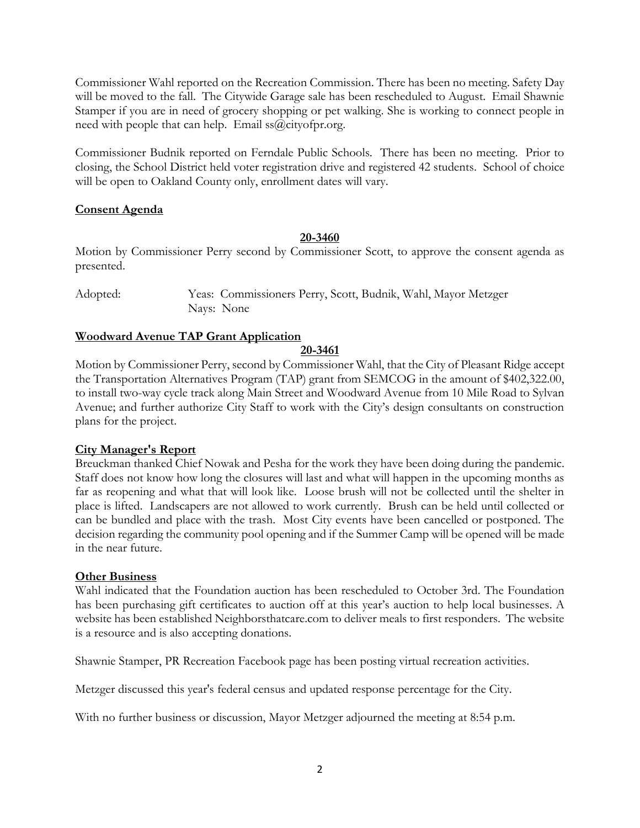Commissioner Wahl reported on the Recreation Commission. There has been no meeting. Safety Day will be moved to the fall. The Citywide Garage sale has been rescheduled to August. Email Shawnie Stamper if you are in need of grocery shopping or pet walking. She is working to connect people in need with people that can help. Email  $ss@cityofpr.org$ .

Commissioner Budnik reported on Ferndale Public Schools. There has been no meeting. Prior to closing, the School District held voter registration drive and registered 42 students. School of choice will be open to Oakland County only, enrollment dates will vary.

## **Consent Agenda**

#### **20-3460**

Motion by Commissioner Perry second by Commissioner Scott, to approve the consent agenda as presented.

Adopted: Yeas: Commissioners Perry, Scott, Budnik, Wahl, Mayor Metzger Nays: None

## **Woodward Avenue TAP Grant Application**

#### **20-3461**

Motion by Commissioner Perry, second by Commissioner Wahl, that the City of Pleasant Ridge accept the Transportation Alternatives Program (TAP) grant from SEMCOG in the amount of \$402,322.00, to install two-way cycle track along Main Street and Woodward Avenue from 10 Mile Road to Sylvan Avenue; and further authorize City Staff to work with the City's design consultants on construction plans for the project.

## **City Manager's Report**

Breuckman thanked Chief Nowak and Pesha for the work they have been doing during the pandemic. Staff does not know how long the closures will last and what will happen in the upcoming months as far as reopening and what that will look like. Loose brush will not be collected until the shelter in place is lifted. Landscapers are not allowed to work currently. Brush can be held until collected or can be bundled and place with the trash. Most City events have been cancelled or postponed. The decision regarding the community pool opening and if the Summer Camp will be opened will be made in the near future.

#### **Other Business**

Wahl indicated that the Foundation auction has been rescheduled to October 3rd. The Foundation has been purchasing gift certificates to auction off at this year's auction to help local businesses. A website has been established Neighborsthatcare.com to deliver meals to first responders. The website is a resource and is also accepting donations.

Shawnie Stamper, PR Recreation Facebook page has been posting virtual recreation activities.

Metzger discussed this year's federal census and updated response percentage for the City.

With no further business or discussion, Mayor Metzger adjourned the meeting at 8:54 p.m.